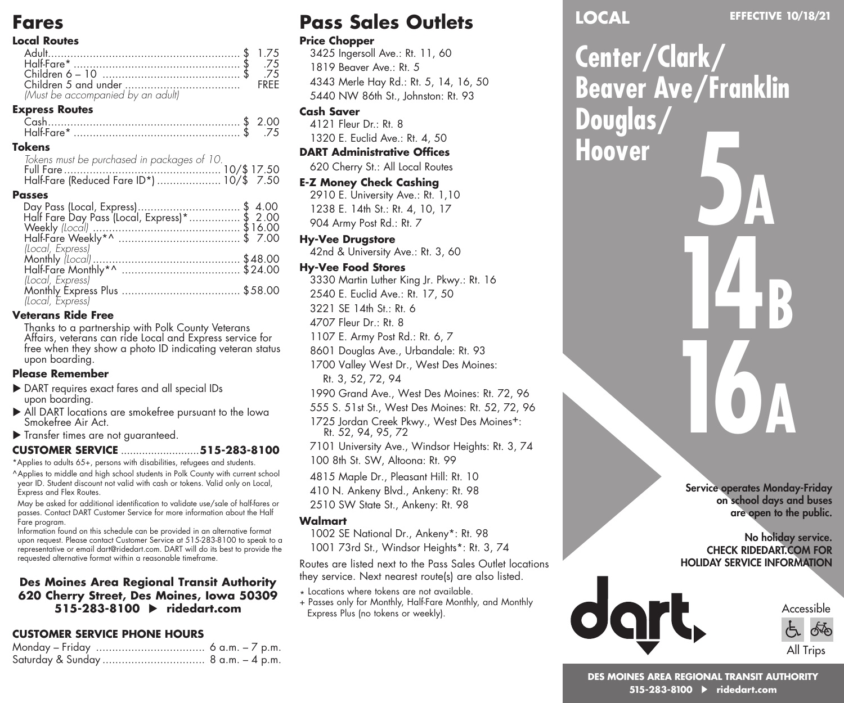# **Fares**

#### **Local Routes**

| 75. \$ .75.                       |      |
|-----------------------------------|------|
|                                   | FREE |
| (Must be accompanied by an adult) |      |

#### **Express Routes**

|  | .75 |
|--|-----|
|  |     |

#### **Tokens**

|  | Tokens must be purchased in packages of 10. |  |  |
|--|---------------------------------------------|--|--|
|  |                                             |  |  |
|  | Half-Fare (Reduced Fare ID*)  10/\$ 7.50    |  |  |

#### **Passes**

| Day Pass (Local, Express)\$ 4.00<br>Half Fare Day Pass (Local, Express)*\$ 2.00 |  |  |
|---------------------------------------------------------------------------------|--|--|
|                                                                                 |  |  |
|                                                                                 |  |  |
|                                                                                 |  |  |
| (Local, Express)                                                                |  |  |
|                                                                                 |  |  |
|                                                                                 |  |  |
| (Local, Express)                                                                |  |  |
|                                                                                 |  |  |
|                                                                                 |  |  |
|                                                                                 |  |  |

#### **Veterans Ride Free**

Thanks to a partnership with Polk County Veterans Affairs, veterans can ride Local and Express service for free when they show a photo ID indicating veteran status upon boarding.

#### **Please Remember**

- ▶ DART requires exact fares and all special IDs upon boarding.
- All DART locations are smokefree pursuant to the Iowa Smokefree Air Act.
- Transfer times are not guaranteed.

#### **CUSTOMER SERVICE** ..........................**515-283-8100**

\*Applies to adults 65+, persons with disabilities, refugees and students.

^Applies to middle and high school students in Polk County with current school year ID. Student discount not valid with cash or tokens. Valid only on Local, Express and Flex Routes.

May be asked for additional identification to validate use/sale of half-fares or passes. Contact DART Customer Service for more information about the Half Fare program.

Information found on this schedule can be provided in an alternative format upon request. Please contact Customer Service at 515-283-8100 to speak to a representative or email dart@ridedart.com. DART will do its best to provide the requested alternative format within a reasonable timeframe.

#### **Des Moines Area Regional Transit Authority 620 Cherry Street, Des Moines, Iowa 50309 515-283-8100 ridedart.com**

# **CUSTOMER SERVICE PHONE HOURS**

| Monday – Friday  6 a.m. – 7 p.m. |  |
|----------------------------------|--|
|                                  |  |

# **Pass Sales Outlets**

#### **Price Chopper**

3425 Ingersoll Ave.: Rt. 11, 60 1819 Beaver Ave.: Rt. 5 4343 Merle Hay Rd.: Rt. 5, 14, 16, 50 5440 NW 86th St., Johnston: Rt. 93

#### **Cash Saver**

4121 Fleur Dr.: Rt. 8 1320 E. Euclid Ave.: Rt. 4, 50

#### **DART Administrative Offices**

620 Cherry St.: All Local Routes

#### **E-Z Money Check Cashing**

2910 E. University Ave.: Rt. 1,10 1238 E. 14th St.: Rt. 4, 10, 17 904 Army Post Rd.: Rt. 7

#### **Hy-Vee Drugstore**

42nd & University Ave.: Rt. 3, 60

#### **Hy-Vee Food Stores**

3330 Martin Luther King Jr. Pkwy.: Rt. 16 2540 E. Euclid Ave.: Rt. 17, 50 3221 SE 14th St.: Rt. 6 4707 Fleur Dr.: Rt. 8 1107 E. Army Post Rd.: Rt. 6, 7 8601 Douglas Ave., Urbandale: Rt. 93 1700 Valley West Dr., West Des Moines: Rt. 3, 52, 72, 94 1990 Grand Ave., West Des Moines: Rt. 72, 96 555 S. 51st St., West Des Moines: Rt. 52, 72, 96

1725 Jordan Creek Pkwy., West Des Moines+: Rt. 52, 94, 95, 72

7101 University Ave., Windsor Heights: Rt. 3, 74 100 8th St. SW, Altoona: Rt. 99

4815 Maple Dr., Pleasant Hill: Rt. 10

410 N. Ankeny Blvd., Ankeny: Rt. 98

2510 SW State St., Ankeny: Rt. 98

#### **Walmart**

1002 SE National Dr., Ankeny\*: Rt. 98

1001 73rd St., Windsor Heights\*: Rt. 3, 74

Routes are listed next to the Pass Sales Outlet locations they service. Next nearest route(s) are also listed.

- \* Locations where tokens are not available.
- + Passes only for Monthly, Half-Fare Monthly, and Monthly Express Plus (no tokens or weekly).

# **LOCAL**

**Center/Clark/ Beaver Ave/Franklin Douglas/ Hoover 5A 14B 16A**

> Service operates Monday-Friday on school days and buses are open to the public.

#### No holiday service. CHECK RIDEDART.COM FOR HOLIDAY SERVICE INFORMATION